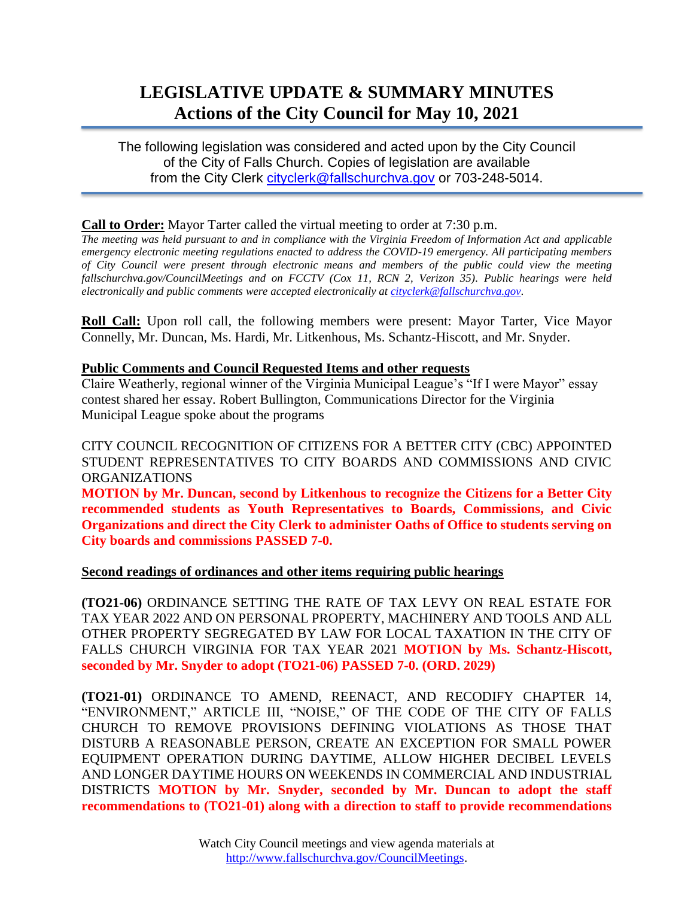# **LEGISLATIVE UPDATE & SUMMARY MINUTES Actions of the City Council for May 10, 2021**

The following legislation was considered and acted upon by the City Council of the City of Falls Church. Copies of legislation are available from the City Clerk [cityclerk@fallschurchva.gov](mailto:cityclerk@fallschurchva.gov) or 703-248-5014.

# **Call to Order:** Mayor Tarter called the virtual meeting to order at 7:30 p.m.

*The meeting was held pursuant to and in compliance with the Virginia Freedom of Information Act and applicable emergency electronic meeting regulations enacted to address the COVID-19 emergency. All participating members of City Council were present through electronic means and members of the public could view the meeting fallschurchva.gov/CouncilMeetings and on FCCTV (Cox 11, RCN 2, Verizon 35). Public hearings were held electronically and public comments were accepted electronically a[t cityclerk@fallschurchva.gov.](mailto:cityclerk@fallschurchva.gov)*

**Roll Call:** Upon roll call, the following members were present: Mayor Tarter, Vice Mayor Connelly, Mr. Duncan, Ms. Hardi, Mr. Litkenhous, Ms. Schantz-Hiscott, and Mr. Snyder.

#### **Public Comments and Council Requested Items and other requests**

Claire Weatherly, regional winner of the Virginia Municipal League's "If I were Mayor" essay contest shared her essay. Robert Bullington, Communications Director for the Virginia Municipal League spoke about the programs

CITY COUNCIL RECOGNITION OF CITIZENS FOR A BETTER CITY (CBC) APPOINTED STUDENT REPRESENTATIVES TO CITY BOARDS AND COMMISSIONS AND CIVIC ORGANIZATIONS

**MOTION by Mr. Duncan, second by Litkenhous to recognize the Citizens for a Better City recommended students as Youth Representatives to Boards, Commissions, and Civic Organizations and direct the City Clerk to administer Oaths of Office to students serving on City boards and commissions PASSED 7-0.**

# **Second readings of ordinances and other items requiring public hearings**

**(TO21-06)** ORDINANCE SETTING THE RATE OF TAX LEVY ON REAL ESTATE FOR TAX YEAR 2022 AND ON PERSONAL PROPERTY, MACHINERY AND TOOLS AND ALL OTHER PROPERTY SEGREGATED BY LAW FOR LOCAL TAXATION IN THE CITY OF FALLS CHURCH VIRGINIA FOR TAX YEAR 2021 **MOTION by Ms. Schantz-Hiscott, seconded by Mr. Snyder to adopt (TO21-06) PASSED 7-0. (ORD. 2029)**

**(TO21-01)** ORDINANCE TO AMEND, REENACT, AND RECODIFY CHAPTER 14, "ENVIRONMENT," ARTICLE III, "NOISE," OF THE CODE OF THE CITY OF FALLS CHURCH TO REMOVE PROVISIONS DEFINING VIOLATIONS AS THOSE THAT DISTURB A REASONABLE PERSON, CREATE AN EXCEPTION FOR SMALL POWER EQUIPMENT OPERATION DURING DAYTIME, ALLOW HIGHER DECIBEL LEVELS AND LONGER DAYTIME HOURS ON WEEKENDS IN COMMERCIAL AND INDUSTRIAL DISTRICTS **MOTION by Mr. Snyder, seconded by Mr. Duncan to adopt the staff recommendations to (TO21-01) along with a direction to staff to provide recommendations**